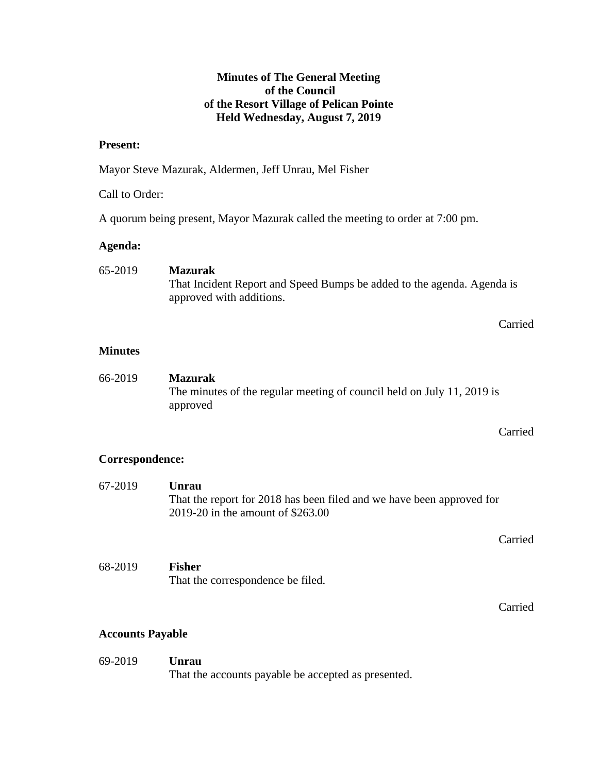## **Minutes of The General Meeting of the Council of the Resort Village of Pelican Pointe Held Wednesday, August 7, 2019**

## **Present:**

Mayor Steve Mazurak, Aldermen, Jeff Unrau, Mel Fisher

## Call to Order:

A quorum being present, Mayor Mazurak called the meeting to order at 7:00 pm.

# **Agenda:**

| 65-2019 | <b>Mazurak</b>                                                         |
|---------|------------------------------------------------------------------------|
|         | That Incident Report and Speed Bumps be added to the agenda. Agenda is |
|         | approved with additions.                                               |

## Carried

## **Minutes**

| 66-2019 | <b>Mazurak</b>                                                         |
|---------|------------------------------------------------------------------------|
|         | The minutes of the regular meeting of council held on July 11, 2019 is |
|         | approved                                                               |

## Carried

## **Correspondence:**

| 67-2019 | Unrau<br>That the report for 2018 has been filed and we have been approved for<br>2019-20 in the amount of \$263.00 |         |  |
|---------|---------------------------------------------------------------------------------------------------------------------|---------|--|
|         |                                                                                                                     | Carried |  |
| 68-2019 | <b>Fisher</b><br>That the correspondence be filed.                                                                  |         |  |
|         |                                                                                                                     | Carried |  |

# **Accounts Payable**

69-2019 **Unrau** That the accounts payable be accepted as presented.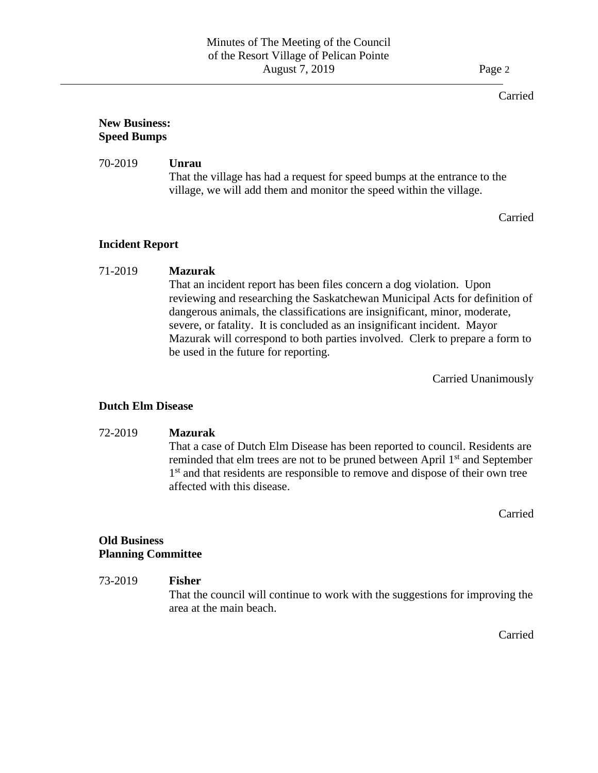#### Carried

## **New Business: Speed Bumps**

#### 70-2019 **Unrau** That the village has had a request for speed bumps at the entrance to the village, we will add them and monitor the speed within the village.

Carried

## **Incident Report**

#### 71-2019 **Mazurak**

That an incident report has been files concern a dog violation. Upon reviewing and researching the Saskatchewan Municipal Acts for definition of dangerous animals, the classifications are insignificant, minor, moderate, severe, or fatality. It is concluded as an insignificant incident. Mayor Mazurak will correspond to both parties involved. Clerk to prepare a form to be used in the future for reporting.

Carried Unanimously

#### **Dutch Elm Disease**

#### 72-2019 **Mazurak**

That a case of Dutch Elm Disease has been reported to council. Residents are reminded that elm trees are not to be pruned between April 1<sup>st</sup> and September 1<sup>st</sup> and that residents are responsible to remove and dispose of their own tree affected with this disease.

Carried

#### **Old Business Planning Committee**

## 73-2019 **Fisher** That the council will continue to work with the suggestions for improving the area at the main beach.

Carried